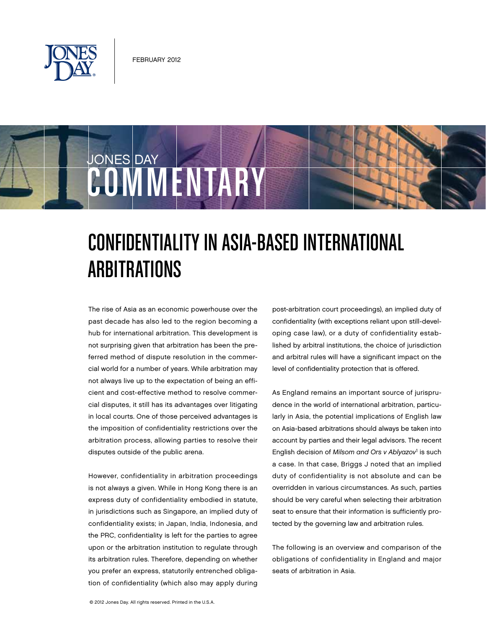



# Confidentiality in Asia-Based International **ARBITRATIONS**

The rise of Asia as an economic powerhouse over the past decade has also led to the region becoming a hub for international arbitration. This development is not surprising given that arbitration has been the preferred method of dispute resolution in the commercial world for a number of years. While arbitration may not always live up to the expectation of being an efficient and cost-effective method to resolve commercial disputes, it still has its advantages over litigating in local courts. One of those perceived advantages is the imposition of confidentiality restrictions over the arbitration process, allowing parties to resolve their disputes outside of the public arena.

However, confidentiality in arbitration proceedings is not always a given. While in Hong Kong there is an express duty of confidentiality embodied in statute, in jurisdictions such as Singapore, an implied duty of confidentiality exists; in Japan, India, Indonesia, and the PRC, confidentiality is left for the parties to agree upon or the arbitration institution to regulate through its arbitration rules. Therefore, depending on whether you prefer an express, statutorily entrenched obligation of confidentiality (which also may apply during

post-arbitration court proceedings), an implied duty of confidentiality (with exceptions reliant upon still-developing case law), or a duty of confidentiality established by arbitral institutions, the choice of jurisdiction and arbitral rules will have a significant impact on the level of confidentiality protection that is offered.

As England remains an important source of jurisprudence in the world of international arbitration, particularly in Asia, the potential implications of English law on Asia-based arbitrations should always be taken into account by parties and their legal advisors. The recent English decision of Milsom and Ors v Ablyazov<sup>1</sup> is such a case. In that case, Briggs J noted that an implied duty of confidentiality is not absolute and can be overridden in various circumstances. As such, parties should be very careful when selecting their arbitration seat to ensure that their information is sufficiently protected by the governing law and arbitration rules.

The following is an overview and comparison of the obligations of confidentiality in England and major seats of arbitration in Asia.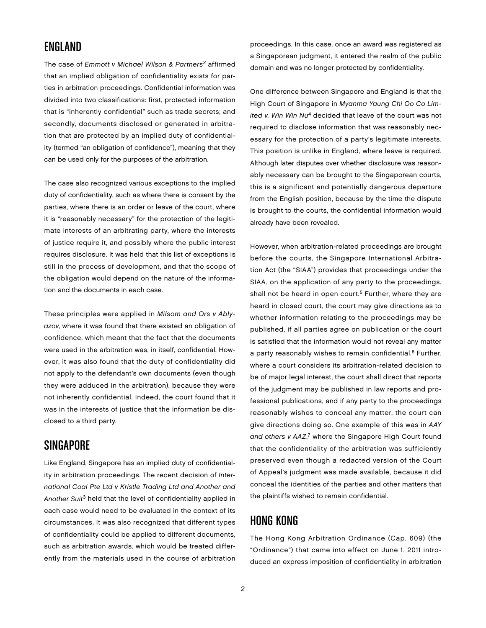#### England

The case of Emmott v Michael Wilson & Partners<sup>2</sup> affirmed that an implied obligation of confidentiality exists for parties in arbitration proceedings. Confidential information was divided into two classifications: first, protected information that is "inherently confidential" such as trade secrets; and secondly, documents disclosed or generated in arbitration that are protected by an implied duty of confidentiality (termed "an obligation of confidence"), meaning that they can be used only for the purposes of the arbitration.

The case also recognized various exceptions to the implied duty of confidentiality, such as where there is consent by the parties, where there is an order or leave of the court, where it is "reasonably necessary" for the protection of the legitimate interests of an arbitrating party, where the interests of justice require it, and possibly where the public interest requires disclosure. It was held that this list of exceptions is still in the process of development, and that the scope of the obligation would depend on the nature of the information and the documents in each case.

These principles were applied in Milsom and Ors v Ablyazov, where it was found that there existed an obligation of confidence, which meant that the fact that the documents were used in the arbitration was, in itself, confidential. However, it was also found that the duty of confidentiality did not apply to the defendant's own documents (even though they were adduced in the arbitration), because they were not inherently confidential. Indeed, the court found that it was in the interests of justice that the information be disclosed to a third party.

## **SINGAPORE**

Like England, Singapore has an implied duty of confidentiality in arbitration proceedings. The recent decision of International Coal Pte Ltd v Kristle Trading Ltd and Another and Another Suit<sup>3</sup> held that the level of confidentiality applied in each case would need to be evaluated in the context of its circumstances. It was also recognized that different types of confidentiality could be applied to different documents, such as arbitration awards, which would be treated differently from the materials used in the course of arbitration proceedings. In this case, once an award was registered as a Singaporean judgment, it entered the realm of the public domain and was no longer protected by confidentiality.

One difference between Singapore and England is that the High Court of Singapore in Myanma Yaung Chi Oo Co Limited v. Win Win  $Nu^4$  decided that leave of the court was not required to disclose information that was reasonably necessary for the protection of a party's legitimate interests. This position is unlike in England, where leave is required. Although later disputes over whether disclosure was reasonably necessary can be brought to the Singaporean courts, this is a significant and potentially dangerous departure from the English position, because by the time the dispute is brought to the courts, the confidential information would already have been revealed.

However, when arbitration-related proceedings are brought before the courts, the Singapore International Arbitration Act (the "SIAA") provides that proceedings under the SIAA, on the application of any party to the proceedings, shall not be heard in open court.<sup>5</sup> Further, where they are heard in closed court, the court may give directions as to whether information relating to the proceedings may be published, if all parties agree on publication or the court is satisfied that the information would not reveal any matter a party reasonably wishes to remain confidential.<sup>6</sup> Further, where a court considers its arbitration-related decision to be of major legal interest, the court shall direct that reports of the judgment may be published in law reports and professional publications, and if any party to the proceedings reasonably wishes to conceal any matter, the court can give directions doing so. One example of this was in AAY and others v AAZ,<sup>7</sup> where the Singapore High Court found that the confidentiality of the arbitration was sufficiently preserved even though a redacted version of the Court of Appeal's judgment was made available, because it did conceal the identities of the parties and other matters that the plaintiffs wished to remain confidential.

#### Hong Kong

The Hong Kong Arbitration Ordinance (Cap. 609) (the "Ordinance") that came into effect on June 1, 2011 introduced an express imposition of confidentiality in arbitration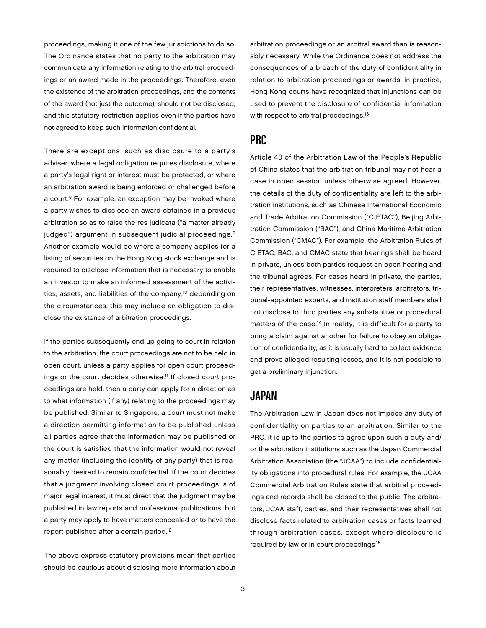proceedings, making it one of the few jurisdictions to do so. The Ordinance states that no party to the arbitration may communicate any information relating to the arbitral proceedings or an award made in the proceedings. Therefore, even the existence of the arbitration proceedings, and the contents of the award (not just the outcome), should not be disclosed, and this statutory restriction applies even if the parties have not agreed to keep such information confidential.

There are exceptions, such as disclosure to a party's adviser, where a legal obligation requires disclosure, where a party's legal right or interest must be protected, or where an arbitration award is being enforced or challenged before a court.<sup>8</sup> For example, an exception may be invoked where a party wishes to disclose an award obtained in a previous arbitration so as to raise the res judicata ("a matter already judged") argument in subsequent judicial proceedings.<sup>9</sup> Another example would be where a company applies for a listing of securities on the Hong Kong stock exchange and is required to disclose information that is necessary to enable an investor to make an informed assessment of the activities, assets, and liabilities of the company;<sup>10</sup> depending on the circumstances, this may include an obligation to disclose the existence of arbitration proceedings.

If the parties subsequently end up going to court in relation to the arbitration, the court proceedings are not to be held in open court, unless a party applies for open court proceedings or the court decides otherwise.11 If closed court proceedings are held, then a party can apply for a direction as to what information (if any) relating to the proceedings may be published. Similar to Singapore, a court must not make a direction permitting information to be published unless all parties agree that the information may be published or the court is satisfied that the information would not reveal any matter (including the identity of any party) that is reasonably desired to remain confidential. If the court decides that a judgment involving closed court proceedings is of major legal interest, it must direct that the judgment may be published in law reports and professional publications, but a party may apply to have matters concealed or to have the report published after a certain period.<sup>12</sup>

The above express statutory provisions mean that parties should be cautious about disclosing more information about

arbitration proceedings or an arbitral award than is reasonably necessary. While the Ordinance does not address the consequences of a breach of the duty of confidentiality in relation to arbitration proceedings or awards, in practice, Hong Kong courts have recognized that injunctions can be used to prevent the disclosure of confidential information with respect to arbitral proceedings.<sup>13</sup>

#### PRC

Article 40 of the Arbitration Law of the People's Republic of China states that the arbitration tribunal may not hear a case in open session unless otherwise agreed. However, the details of the duty of confidentiality are left to the arbitration institutions, such as Chinese International Economic and Trade Arbitration Commission ("CIETAC"), Beijing Arbitration Commission ("BAC"), and China Maritime Arbitration Commission ("CMAC"). For example, the Arbitration Rules of CIETAC, BAC, and CMAC state that hearings shall be heard in private, unless both parties request an open hearing and the tribunal agrees. For cases heard in private, the parties, their representatives, witnesses, interpreters, arbitrators, tribunal-appointed experts, and institution staff members shall not disclose to third parties any substantive or procedural matters of the case.<sup>14</sup> In reality, it is difficult for a party to bring a claim against another for failure to obey an obligation of confidentiality, as it is usually hard to collect evidence and prove alleged resulting losses, and it is not possible to get a preliminary injunction.

#### Japan

The Arbitration Law in Japan does not impose any duty of confidentiality on parties to an arbitration. Similar to the PRC, it is up to the parties to agree upon such a duty and/ or the arbitration institutions such as the Japan Commercial Arbitration Association (the "JCAA") to include confidentiality obligations into procedural rules. For example, the JCAA Commercial Arbitration Rules state that arbitral proceedings and records shall be closed to the public. The arbitrators, JCAA staff, parties, and their representatives shall not disclose facts related to arbitration cases or facts learned through arbitration cases, except where disclosure is required by law or in court proceedings.15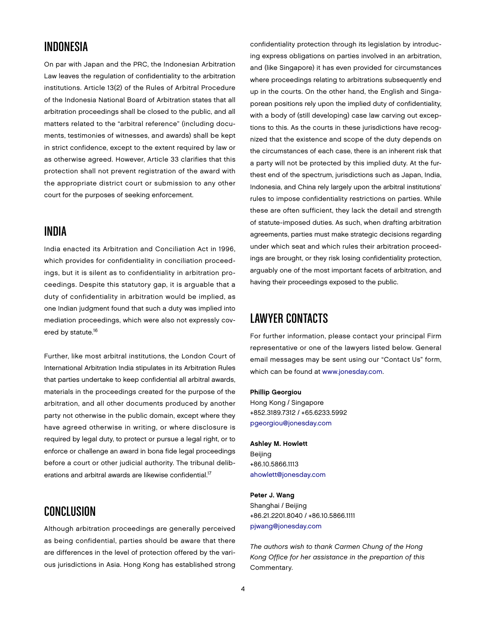#### Indonesia

On par with Japan and the PRC, the Indonesian Arbitration Law leaves the regulation of confidentiality to the arbitration institutions. Article 13(2) of the Rules of Arbitral Procedure of the Indonesia National Board of Arbitration states that all arbitration proceedings shall be closed to the public, and all matters related to the "arbitral reference" (including documents, testimonies of witnesses, and awards) shall be kept in strict confidence, except to the extent required by law or as otherwise agreed. However, Article 33 clarifies that this protection shall not prevent registration of the award with the appropriate district court or submission to any other court for the purposes of seeking enforcement.

#### India

India enacted its Arbitration and Conciliation Act in 1996, which provides for confidentiality in conciliation proceedings, but it is silent as to confidentiality in arbitration proceedings. Despite this statutory gap, it is arguable that a duty of confidentiality in arbitration would be implied, as one Indian judgment found that such a duty was implied into mediation proceedings, which were also not expressly covered by statute.<sup>16</sup>

Further, like most arbitral institutions, the London Court of International Arbitration India stipulates in its Arbitration Rules that parties undertake to keep confidential all arbitral awards, materials in the proceedings created for the purpose of the arbitration, and all other documents produced by another party not otherwise in the public domain, except where they have agreed otherwise in writing, or where disclosure is required by legal duty, to protect or pursue a legal right, or to enforce or challenge an award in bona fide legal proceedings before a court or other judicial authority. The tribunal deliberations and arbitral awards are likewise confidential.17

## Conclusion

Although arbitration proceedings are generally perceived as being confidential, parties should be aware that there are differences in the level of protection offered by the various jurisdictions in Asia. Hong Kong has established strong confidentiality protection through its legislation by introducing express obligations on parties involved in an arbitration, and (like Singapore) it has even provided for circumstances where proceedings relating to arbitrations subsequently end up in the courts. On the other hand, the English and Singaporean positions rely upon the implied duty of confidentiality, with a body of (still developing) case law carving out exceptions to this. As the courts in these jurisdictions have recognized that the existence and scope of the duty depends on the circumstances of each case, there is an inherent risk that a party will not be protected by this implied duty. At the furthest end of the spectrum, jurisdictions such as Japan, India, Indonesia, and China rely largely upon the arbitral institutions' rules to impose confidentiality restrictions on parties. While these are often sufficient, they lack the detail and strength of statute-imposed duties. As such, when drafting arbitration agreements, parties must make strategic decisions regarding under which seat and which rules their arbitration proceedings are brought, or they risk losing confidentiality protection, arguably one of the most important facets of arbitration, and having their proceedings exposed to the public.

## Lawyer Contacts

For further information, please contact your principal Firm representative or one of the lawyers listed below. General email messages may be sent using our "Contact Us" form, which can be found at [www.jonesday.com.](http://www.jonesday.com)

#### Phillip Georgiou

Hong Kong / Singapore +852.3189.7312 / +65.6233.5992 [pgeorgiou@jonesday.com](mailto:pgeorgiou@jonesday.com)

#### Ashley M. Howlett

Beijing +86.10.5866.1113 [ahowlett@jonesday.com](mailto:ahowlett@jonesday.com)

#### Peter J. Wang

Shanghai / Beijing +86.21.2201.8040 / +86.10.5866.1111 [pjwang@jonesday.com](mailto:pjwang@jonesday.com)

The authors wish to thank Carmen Chung of the Hong Kong Office for her assistance in the prepartion of this Commentary.